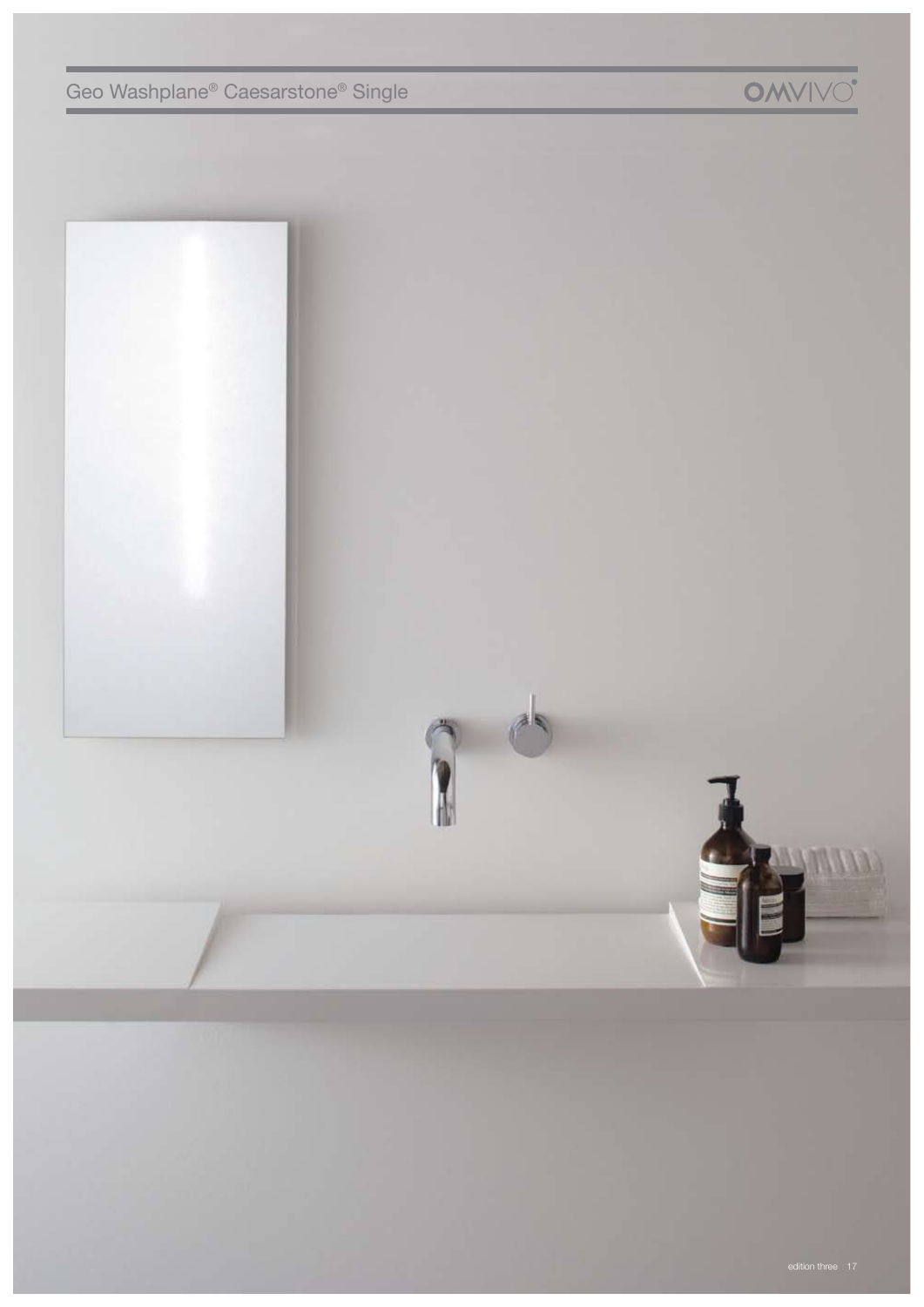п



**OMVIVO**